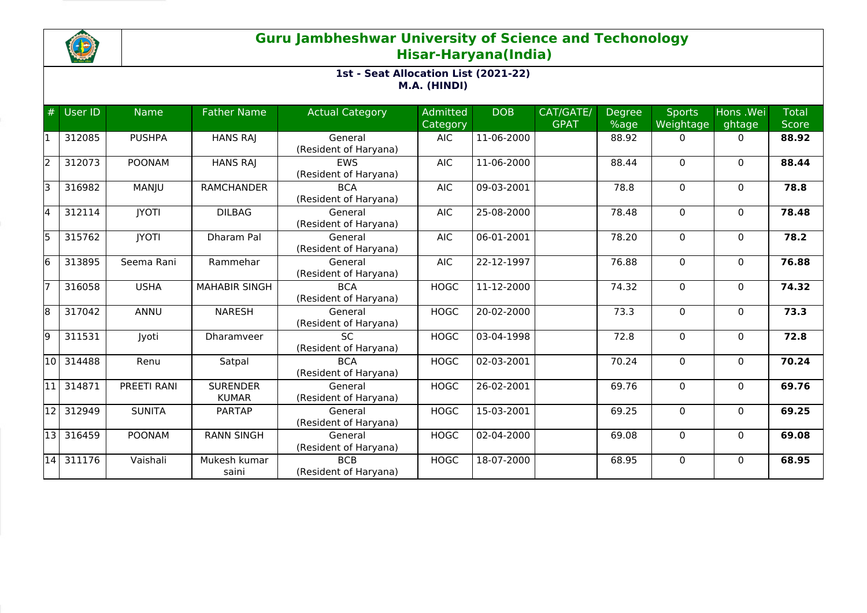

## **Guru Jambheshwar University of Science and Techonology Hisar-Haryana(India)**

#### **1st - Seat Allocation List (2021-22) M.A. (HINDI)**

| #     | User ID | <b>Name</b>   | <b>Father Name</b>              | <b>Actual Category</b>              | <b>Admitted</b><br>Category | <b>DOB</b>       | CAT/GATE/<br><b>GPAT</b> | Degree<br>%age | <b>Sports</b><br>Weightage | Hons .Wei<br>ghtage | <b>Total</b><br><b>Score</b> |
|-------|---------|---------------|---------------------------------|-------------------------------------|-----------------------------|------------------|--------------------------|----------------|----------------------------|---------------------|------------------------------|
|       | 312085  | <b>PUSHPA</b> | <b>HANS RAJ</b>                 | General<br>(Resident of Haryana)    | <b>AIC</b>                  | 11-06-2000       |                          | 88.92          | 0                          | $\Omega$            | 88.92                        |
| l2    | 312073  | <b>POONAM</b> | <b>HANS RAJ</b>                 | <b>EWS</b><br>(Resident of Haryana) | <b>AIC</b>                  | 11-06-2000       |                          | 88.44          | $\Omega$                   | $\Omega$            | 88.44                        |
| l٦    | 316982  | MANJU         | <b>RAMCHANDER</b>               | <b>BCA</b><br>(Resident of Haryana) | <b>AIC</b>                  | 09-03-2001       |                          | 78.8           | 0                          | $\mathbf{0}$        | 78.8                         |
| l4    | 312114  | <b>JYOTI</b>  | <b>DILBAG</b>                   | General<br>(Resident of Haryana)    | <b>AIC</b>                  | 25-08-2000       |                          | 78.48          | $\Omega$                   | $\mathbf{0}$        | 78.48                        |
| l5    | 315762  | <b>IYOTI</b>  | Dharam Pal                      | General<br>(Resident of Haryana)    | <b>AIC</b>                  | 06-01-2001       |                          | 78.20          | $\Omega$                   | $\mathbf{0}$        | 78.2                         |
| l6    | 313895  | Seema Rani    | Rammehar                        | General<br>(Resident of Haryana)    | <b>AIC</b>                  | 22-12-1997       |                          | 76.88          | 0                          | $\mathbf{0}$        | 76.88                        |
|       | 316058  | <b>USHA</b>   | <b>MAHABIR SINGH</b>            | <b>BCA</b><br>(Resident of Haryana) | <b>HOGC</b>                 | 11-12-2000       |                          | 74.32          | $\Omega$                   | $\mathbf{0}$        | 74.32                        |
| l8    | 317042  | ANNU          | <b>NARESH</b>                   | General<br>(Resident of Haryana)    | <b>HOGC</b>                 | 20-02-2000       |                          | 73.3           | $\Omega$                   | $\mathbf{0}$        | 73.3                         |
| l9    | 311531  | Jyoti         | Dharamveer                      | <b>SC</b><br>(Resident of Haryana)  | <b>HOGC</b>                 | 03-04-1998       |                          | 72.8           | 0                          | $\mathbf{0}$        | 72.8                         |
| 10    | 314488  | Renu          | Satpal                          | <b>BCA</b><br>(Resident of Haryana) | <b>HOGC</b>                 | 02-03-2001       |                          | 70.24          | $\Omega$                   | $\Omega$            | 70.24                        |
| 11    | 314871  | PREETI RANI   | <b>SURENDER</b><br><b>KUMAR</b> | General<br>(Resident of Haryana)    | <b>HOGC</b>                 | 26-02-2001       |                          | 69.76          | $\Omega$                   | $\mathbf{0}$        | 69.76                        |
| 12    | 312949  | <b>SUNITA</b> | <b>PARTAP</b>                   | General<br>(Resident of Haryana)    | <b>HOGC</b>                 | 15-03-2001       |                          | 69.25          | $\Omega$                   | $\Omega$            | 69.25                        |
| l13 l | 316459  | <b>POONAM</b> | <b>RANN SINGH</b>               | General<br>(Resident of Haryana)    | <b>HOGC</b>                 | $02 - 04 - 2000$ |                          | 69.08          | 0                          | $\mathbf 0$         | 69.08                        |
| 14    | 311176  | Vaishali      | Mukesh kumar<br>saini           | <b>BCB</b><br>(Resident of Haryana) | <b>HOGC</b>                 | $18-07-2000$     |                          | 68.95          | $\Omega$                   | $\Omega$            | 68.95                        |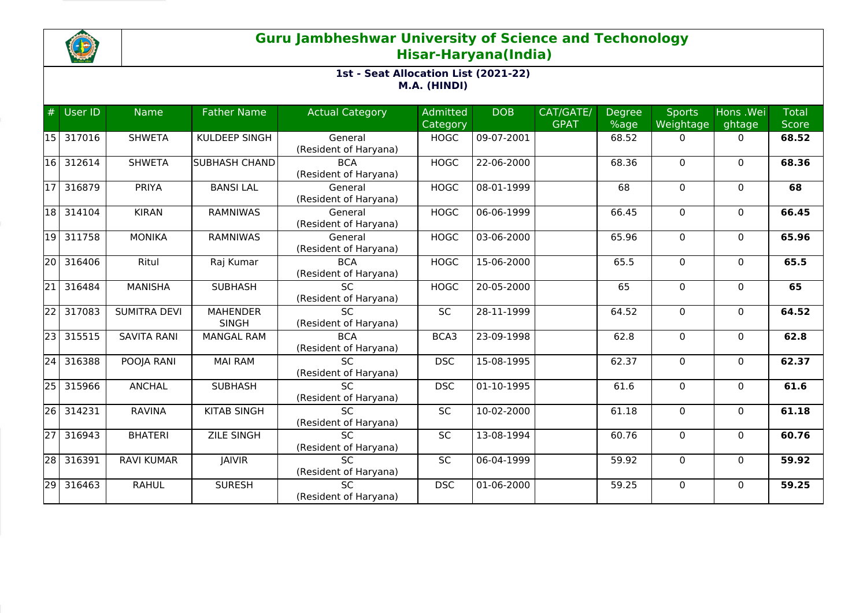

## **Guru Jambheshwar University of Science and Techonology Hisar-Haryana(India)**

#### **1st - Seat Allocation List (2021-22) M.A. (HINDI)**

| #               | User ID | <b>Name</b>         | <b>Father Name</b>              | <b>Actual Category</b>                   | Admitted<br>Category | <b>DOB</b> | CAT/GATE/<br><b>GPAT</b> | <b>Degree</b><br>%age | <b>Sports</b><br>Weightage | Hons .Wei<br>ghtage | <b>Total</b><br><b>Score</b> |
|-----------------|---------|---------------------|---------------------------------|------------------------------------------|----------------------|------------|--------------------------|-----------------------|----------------------------|---------------------|------------------------------|
| 15              | 317016  | <b>SHWETA</b>       | KULDEEP SINGH                   | General<br>(Resident of Haryana)         | <b>HOGC</b>          | 09-07-2001 |                          | 68.52                 | $\mathbf{0}$               | 0                   | 68.52                        |
| 16              | 312614  | <b>SHWETA</b>       | <b>SUBHASH CHAND</b>            | <b>BCA</b><br>(Resident of Haryana)      | <b>HOGC</b>          | 22-06-2000 |                          | 68.36                 | $\mathbf 0$                | $\Omega$            | 68.36                        |
| l17             | 316879  | PRIYA               | <b>BANSILAL</b>                 | General<br>(Resident of Haryana)         | <b>HOGC</b>          | 08-01-1999 |                          | 68                    | $\mathbf 0$                | $\mathbf{0}$        | 68                           |
| 18              | 314104  | <b>KIRAN</b>        | <b>RAMNIWAS</b>                 | General<br>(Resident of Haryana)         | <b>HOGC</b>          | 06-06-1999 |                          | 66.45                 | 0                          | 0                   | 66.45                        |
| 19              | 311758  | <b>MONIKA</b>       | <b>RAMNIWAS</b>                 | General<br>(Resident of Haryana)         | <b>HOGC</b>          | 03-06-2000 |                          | 65.96                 | $\mathbf 0$                | $\mathbf{0}$        | 65.96                        |
| 20              | 316406  | Ritul               | Raj Kumar                       | <b>BCA</b><br>(Resident of Haryana)      | <b>HOGC</b>          | 15-06-2000 |                          | 65.5                  | $\mathbf{0}$               | $\mathbf{0}$        | 65.5                         |
| 21              | 316484  | <b>MANISHA</b>      | <b>SUBHASH</b>                  | <b>SC</b><br>(Resident of Haryana)       | <b>HOGC</b>          | 20-05-2000 |                          | 65                    | $\mathbf 0$                | $\mathbf{0}$        | 65                           |
| $\overline{22}$ | 317083  | <b>SUMITRA DEVI</b> | <b>MAHENDER</b><br><b>SINGH</b> | $\overline{SC}$<br>(Resident of Haryana) | SC                   | 28-11-1999 |                          | 64.52                 | $\Omega$                   | $\mathbf{0}$        | 64.52                        |
| $\overline{23}$ | 315515  | <b>SAVITA RANI</b>  | <b>MANGAL RAM</b>               | <b>BCA</b><br>(Resident of Haryana)      | BCA3                 | 23-09-1998 |                          | 62.8                  | $\mathbf 0$                | $\mathbf{0}$        | 62.8                         |
| 24              | 316388  | POOJA RANI          | <b>MAI RAM</b>                  | $\overline{SC}$<br>(Resident of Haryana) | <b>DSC</b>           | 15-08-1995 |                          | 62.37                 | 0                          | 0                   | 62.37                        |
| 25              | 315966  | <b>ANCHAL</b>       | <b>SUBHASH</b>                  | $\overline{SC}$<br>(Resident of Haryana) | <b>DSC</b>           | 01-10-1995 |                          | 61.6                  | $\Omega$                   | $\Omega$            | 61.6                         |
| 26              | 314231  | <b>RAVINA</b>       | <b>KITAB SINGH</b>              | <b>SC</b><br>(Resident of Haryana)       | <b>SC</b>            | 10-02-2000 |                          | 61.18                 | 0                          | $\mathbf{0}$        | 61.18                        |
| 27              | 316943  | <b>BHATERI</b>      | <b>ZILE SINGH</b>               | $\overline{SC}$<br>(Resident of Haryana) | $\overline{SC}$      | 13-08-1994 |                          | 60.76                 | $\mathbf 0$                | $\mathbf 0$         | 60.76                        |
| 28              | 316391  | <b>RAVI KUMAR</b>   | <b>JAIVIR</b>                   | <b>SC</b><br>(Resident of Haryana)       | <b>SC</b>            | 06-04-1999 |                          | 59.92                 | 0                          | 0                   | 59.92                        |
| $\overline{29}$ | 316463  | <b>RAHUL</b>        | <b>SURESH</b>                   | <b>SC</b><br>(Resident of Haryana)       | <b>DSC</b>           | 01-06-2000 |                          | 59.25                 | $\mathbf 0$                | $\Omega$            | 59.25                        |